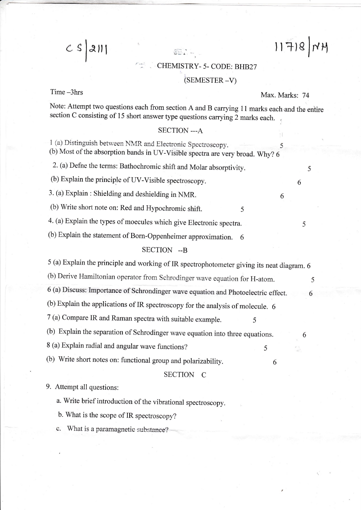# CHEMISTRY- 5- CODE: BHB27

## $(SEMESTER -V)$

 $C S$ 

la,rt

Time -3hrs Max. Marks: 74

':

 $H|B|F||$ 

Note: Attempt two questions each from section A and B carrying 11 marks each and the entire section C consisting of 15 short answer type questions carrying 2 marks each.

## SECTION --- A

:,

 $SE.$ 

1 (a) Distinguish between NMR and Electronic Spectroscopy. 5 (b) Most of the absorption bands in UV-visible spectra are very broad. why? <sup>6</sup>

2. (a) Defne the terms: Bathochromic shift and Molar absorptivity. <sup>5</sup>

(b) Explain the principle of UV-Visible spectroscopy. 6

3. (a) Explain : Shielding and deshielding in NMR. <sup>6</sup>

(b) Write short note on: Red and Hypochromic shift. 5

4. (a) Explain the types of moecules which give Electronic spectra. <sup>5</sup>

(b) Explain the statement of Born-Oppenheimer approximation. 6

## SECTION --B

5 (a) Explain the principle and working of IR spectrophotometer giving its neat diagram. <sup>6</sup>

(b) Derive Hamiltonian operator from Schrodinger wave equation for H-atom.

6 (a) Discuss: Importance of Schrondinger \\'ave equation and photoelectric etfect. <sup>6</sup>

(b) Explain the applications of IR spectroscopy for the analysis of molecule. <sup>6</sup>

7 (a) compare IR and Raman spectra with suitable example. <sup>5</sup>

(b) Explain the separation of Schrodinger wave equation into three equations. 6

8 (a) Explain radial and angular wave functions? <sup>5</sup>

(b) Write short notes on: functional group and polarizability. 6

#### SECTION C

#### 9. Attempt all questions:

a. Write brief introduction of the vibrational spectroscopy.

b. What is the scope of IR spectroscopy?

c. What is a paramagnetic substance?